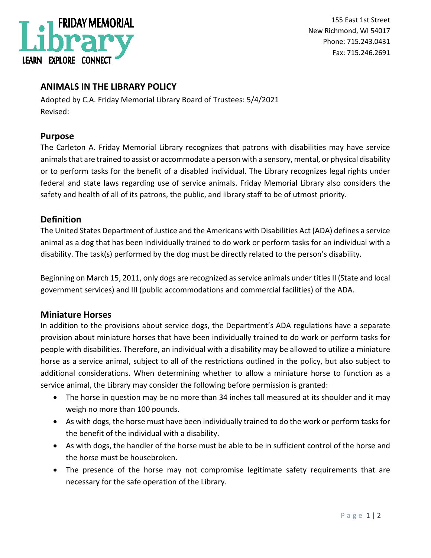

155 East 1st Street New Richmond, WI 54017 Phone: 715.243.0431 Fax: 715.246.2691

# **ANIMALS IN THE LIBRARY POLICY**

Adopted by C.A. Friday Memorial Library Board of Trustees: 5/4/2021 Revised:

### **Purpose**

The Carleton A. Friday Memorial Library recognizes that patrons with disabilities may have service animals that are trained to assist or accommodate a person with a sensory, mental, or physical disability or to perform tasks for the benefit of a disabled individual. The Library recognizes legal rights under federal and state laws regarding use of service animals. Friday Memorial Library also considers the safety and health of all of its patrons, the public, and library staff to be of utmost priority.

### **Definition**

The United States Department of Justice and the Americans with Disabilities Act (ADA) defines a service animal as a dog that has been individually trained to do work or perform tasks for an individual with a disability. The task(s) performed by the dog must be directly related to the person's disability.

Beginning on March 15, 2011, only dogs are recognized as service animals under titles II (State and local government services) and III (public accommodations and commercial facilities) of the ADA.

### **Miniature Horses**

In addition to the provisions about service dogs, the Department's ADA regulations have a separate provision about miniature horses that have been individually trained to do work or perform tasks for people with disabilities. Therefore, an individual with a disability may be allowed to utilize a miniature horse as a service animal, subject to all of the restrictions outlined in the policy, but also subject to additional considerations. When determining whether to allow a miniature horse to function as a service animal, the Library may consider the following before permission is granted:

- The horse in question may be no more than 34 inches tall measured at its shoulder and it may weigh no more than 100 pounds.
- As with dogs, the horse must have been individually trained to do the work or perform tasks for the benefit of the individual with a disability.
- As with dogs, the handler of the horse must be able to be in sufficient control of the horse and the horse must be housebroken.
- The presence of the horse may not compromise legitimate safety requirements that are necessary for the safe operation of the Library.